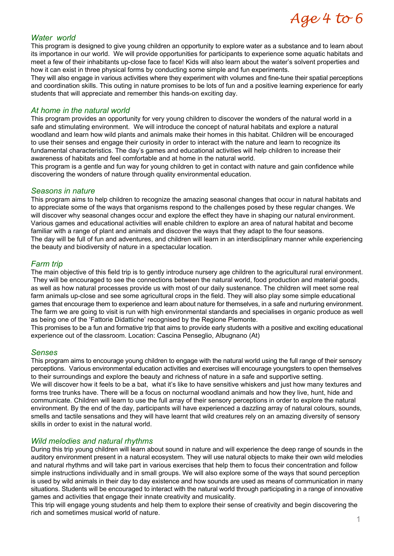# Age 4 to 6

#### *Water world*

This program is designed to give young children an opportunity to explore water as a substance and to learn about its importance in our world. We will provide opportunities for participants to experience some aquatic habitats and meet a few of their inhabitants up-close face to face! Kids will also learn about the water's solvent properties and how it can exist in three physical forms by conducting some simple and fun experiments.

They will also engage in various activities where they experiment with volumes and fine-tune their spatial perceptions and coordination skills. This outing in nature promises to be lots of fun and a positive learning experience for early students that will appreciate and remember this hands-on exciting day.

#### *At home in the natural world*

This program provides an opportunity for very young children to discover the wonders of the natural world in a safe and stimulating environment. We will introduce the concept of natural habitats and explore a natural woodland and learn how wild plants and animals make their homes in this habitat. Children will be encouraged to use their senses and engage their curiosity in order to interact with the nature and learn to recognize its fundamental characteristics. The day's games and educational activities will help children to increase their awareness of habitats and feel comfortable and at home in the natural world.

This program is a gentle and fun way for young children to get in contact with nature and gain confidence while discovering the wonders of nature through quality environmental education.

#### *Seasons in nature*

This program aims to help children to recognize the amazing seasonal changes that occur in natural habitats and to appreciate some of the ways that organisms respond to the challenges posed by these regular changes. We will discover why seasonal changes occur and explore the effect they have in shaping our natural environment. Various games and educational activities will enable children to explore an area of natural habitat and become familiar with a range of plant and animals and discover the ways that they adapt to the four seasons. The day will be full of fun and adventures, and children will learn in an interdisciplinary manner while experiencing the beauty and biodiversity of nature in a spectacular location.

#### *Farm trip*

The main objective of this field trip is to gently introduce nursery age children to the agricultural rural environment. They will be encouraged to see the connections between the natural world, food production and material goods, as well as how natural processes provide us with most of our daily sustenance. The children will meet some real farm animals up-close and see some agricultural crops in the field. They will also play some simple educational games that encourage them to experience and learn about nature for themselves, in a safe and nurturing environment. The farm we are going to visit is run with high environmental standards and specialises in organic produce as well as being one of the 'Fattorie Didattiche' recognised by the Regione Piemonte.

This promises to be a fun and formative trip that aims to provide early students with a positive and exciting educational experience out of the classroom. Location: Cascina Penseglio, Albugnano (At)

#### *Senses*

This program aims to encourage young children to engage with the natural world using the full range of their sensory perceptions. Various environmental education activities and exercises will encourage youngsters to open themselves to their surroundings and explore the beauty and richness of nature in a safe and supportive setting. We will discover how it feels to be a bat, what it's like to have sensitive whiskers and just how many textures and forms tree trunks have. There will be a focus on nocturnal woodland animals and how they live, hunt, hide and communicate. Children will learn to use the full array of their sensory perceptions in order to explore the natural environment. By the end of the day, participants will have experienced a dazzling array of natural colours, sounds, smells and tactile sensations and they will have learnt that wild creatures rely on an amazing diversity of sensory skills in order to exist in the natural world.

# *Wild melodies and natural rhythms*

During this trip young children will learn about sound in nature and will experience the deep range of sounds in the auditory environment present in a natural ecosystem. They will use natural objects to make their own wild melodies and natural rhythms and will take part in various exercises that help them to focus their concentration and follow simple instructions individually and in small groups. We will also explore some of the ways that sound perception is used by wild animals in their day to day existence and how sounds are used as means of communication in many situations. Students will be encouraged to interact with the natural world through participating in a range of innovative games and activities that engage their innate creativity and musicality.

This trip will engage young students and help them to explore their sense of creativity and begin discovering the rich and sometimes musical world of nature.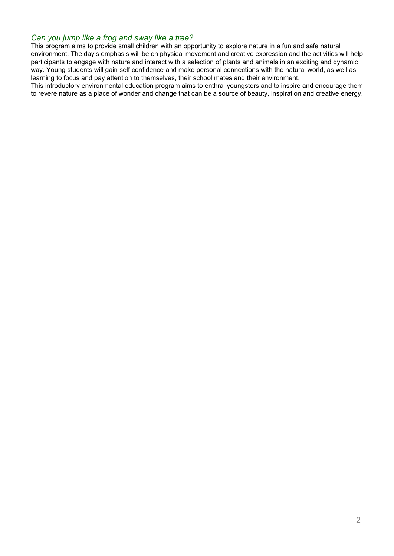#### *Can you jump like a frog and sway like a tree?*

This program aims to provide small children with an opportunity to explore nature in a fun and safe natural environment. The day's emphasis will be on physical movement and creative expression and the activities will help participants to engage with nature and interact with a selection of plants and animals in an exciting and dynamic way. Young students will gain self confidence and make personal connections with the natural world, as well as learning to focus and pay attention to themselves, their school mates and their environment.

This introductory environmental education program aims to enthral youngsters and to inspire and encourage them to revere nature as a place of wonder and change that can be a source of beauty, inspiration and creative energy.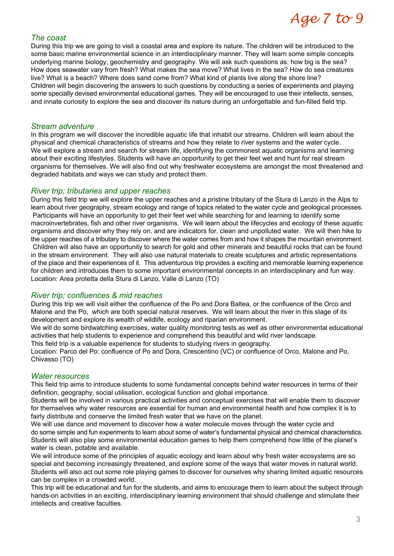# Age 7 to 9

#### *The coast*

During this trip we are going to visit a coastal area and explore its nature. The children will be introduced to the some basic marine environmental science in an interdisciplinary manner. They will learn some simple concepts underlying marine biology, geochemistry and geography. We will ask such questions as: how big is the sea? How does seawater vary from fresh? What makes the sea move? What lives in the sea? How do sea creatures live? What is a beach? Where does sand come from? What kind of plants live along the shore line? Children will begin discovering the answers to such questions by conducting a series of experiments and playing some specially devised environmental educational games. They will be encouraged to use their intellects, senses, and innate curiosity to explore the sea and discover its nature during an unforgettable and fun-filled field trip.

#### *Stream adventure*

In this program we will discover the incredible aquatic life that inhabit our streams. Children will learn about the physical and chemical characteristics of streams and how they relate to river systems and the water cycle. We will explore a stream and search for stream life, identifying the commonest aquatic organisms and learning about their exciting lifestyles. Students will have an opportunity to get their feet wet and hunt for real stream organisms for themselves. We will also find out why freshwater ecosystems are amongst the most threatened and degraded habitats and ways we can study and protect them.

# *River trip; tributaries and upper reaches*

During this field trip we will explore the upper reaches and a pristine tributary of the Stura di Lanzo in the Alps to learn about river geography, stream ecology and range of topics related to the water cycle and geological processes. Participants will have an opportunity to get their feet wet while searching for and learning to identify some macroinvertebrates, fish and other river organisms. We will learn about the lifecycles and ecology of these aquatic organisms and discover why they rely on, and are indicators for, clean and unpolluted water. We will then hike to the upper reaches of a tributary to discover where the water comes from and how it shapes the mountain environment. Children will also have an opportunity to search for gold and other minerals and beautiful rocks that can be found in the stream environment. They will also use natural materials to create sculptures and artistic representations of the place and their experiences of it. This adventurous trip provides a exciting and memorable learning experience for children and introduces them to some important environmental concepts in an interdisciplinary and fun way. Location: Area protetta della Stura di Lanzo, Valle di Lanzo (TO)

# *River trip; confluences & mid reaches*

During this trip we will visit either the confluence of the Po and Dora Baltea, or the confluence of the Orco and Malone and the Po, which are both special natural reserves. We will learn about the river in this stage of its development and explore its wealth of wildlife, ecology and riparian environment.

We will do some birdwatching exercises, water quality monitoring tests as well as other environmental educational activities that help students to experience and comprehend this beautiful and wild river landscape.

This field trip is a valuable experience for students to studying rivers in geography.

Location: Parco del Po: confluence of Po and Dora, Crescentino (VC) or confluence of Orco, Malone and Po, Chivasso (TO)

# *Water resources*

This field trip aims to introduce students to some fundamental concepts behind water resources in terms of their definition, geography, social utilisation, ecological function and global importance.

Students will be involved in various practical activities and conceptual exercises that will enable them to discover for themselves why water resources are essential for human and environmental health and how complex it is to fairly distribute and conserve the limited fresh water that we have on the planet.

We will use dance and movement to discover how a water molecule moves through the water cycle and do some simple and fun experiments to learn about some of water's fundamental physical and chemical characteristics. Students will also play some environmental education games to help them comprehend how little of the planet's water is clean, potable and available.

We will introduce some of the principles of aquatic ecology and learn about why fresh water ecosystems are so special and becoming increasingly threatened, and explore some of the ways that water moves in natural world. Students will also act out some role playing games to discover for ourselves why sharing limited aquatic resources can be complex in a crowded world.

This trip will be educational and fun for the students, and aims to encourage them to learn about the subject through hands-on activities in an exciting, interdisciplinary learning environment that should challenge and stimulate their intellects and creative faculties.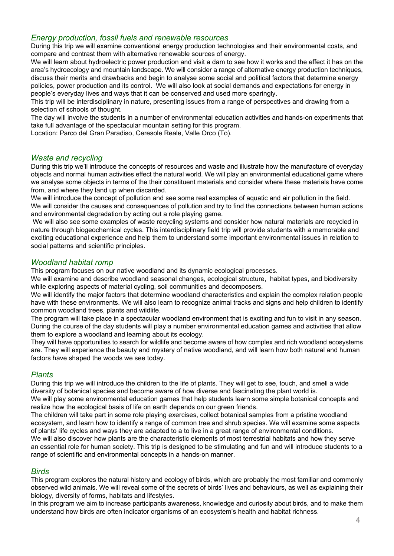#### *Energy production, fossil fuels and renewable resources*

During this trip we will examine conventional energy production technologies and their environmental costs, and compare and contrast them with alternative renewable sources of energy.

We will learn about hydroelectric power production and visit a dam to see how it works and the effect it has on the area's hydroecology and mountain landscape. We will consider a range of alternative energy production techniques, discuss their merits and drawbacks and begin to analyse some social and political factors that determine energy policies, power production and its control. We will also look at social demands and expectations for energy in people's everyday lives and ways that it can be conserved and used more sparingly.

This trip will be interdisciplinary in nature, presenting issues from a range of perspectives and drawing from a selection of schools of thought.

The day will involve the students in a number of environmental education activities and hands-on experiments that take full advantage of the spectacular mountain setting for this program.

Location: Parco del Gran Paradiso, Ceresole Reale, Valle Orco (To).

# *Waste and recycling*

During this trip we'll introduce the concepts of resources and waste and illustrate how the manufacture of everyday objects and normal human activities effect the natural world. We will play an environmental educational game where we analyse some objects in terms of the their constituent materials and consider where these materials have come from, and where they land up when discarded.

We will introduce the concept of pollution and see some real examples of aquatic and air pollution in the field. We will consider the causes and consequences of pollution and try to find the connections between human actions and environmental degradation by acting out a role playing game.

 We will also see some examples of waste recycling systems and consider how natural materials are recycled in nature through biogeochemical cycles. This interdisciplinary field trip will provide students with a memorable and exciting educational experience and help them to understand some important environmental issues in relation to social patterns and scientific principles.

#### *Woodland habitat romp*

This program focuses on our native woodland and its dynamic ecological processes.

We will examine and describe woodland seasonal changes, ecological structure, habitat types, and biodiversity while exploring aspects of material cycling, soil communities and decomposers.

We will identify the major factors that determine woodland characteristics and explain the complex relation people have with these environments. We will also learn to recognize animal tracks and signs and help children to identify common woodland trees, plants and wildlife.

The program will take place in a spectacular woodland environment that is exciting and fun to visit in any season. During the course of the day students will play a number environmental education games and activities that allow them to explore a woodland and learning about its ecology.

They will have opportunities to search for wildlife and become aware of how complex and rich woodland ecosystems are. They will experience the beauty and mystery of native woodland, and will learn how both natural and human factors have shaped the woods we see today.

# *Plants*

During this trip we will introduce the children to the life of plants. They will get to see, touch, and smell a wide diversity of botanical species and become aware of how diverse and fascinating the plant world is.

We will play some environmental education games that help students learn some simple botanical concepts and realize how the ecological basis of life on earth depends on our green friends.

The children will take part in some role playing exercises, collect botanical samples from a pristine woodland ecosystem, and learn how to identify a range of common tree and shrub species. We will examine some aspects of plants' life cycles and ways they are adapted to a to live in a great range of environmental conditions.

We will also discover how plants are the characteristic elements of most terrestrial habitats and how they serve an essential role for human society. This trip is designed to be stimulating and fun and will introduce students to a range of scientific and environmental concepts in a hands-on manner.

#### *Birds*

This program explores the natural history and ecology of birds, which are probably the most familiar and commonly observed wild animals. We will reveal some of the secrets of birds' lives and behaviours, as well as explaining their biology, diversity of forms, habitats and lifestyles.

In this program we aim to increase participants awareness, knowledge and curiosity about birds, and to make them understand how birds are often indicator organisms of an ecosystem's health and habitat richness.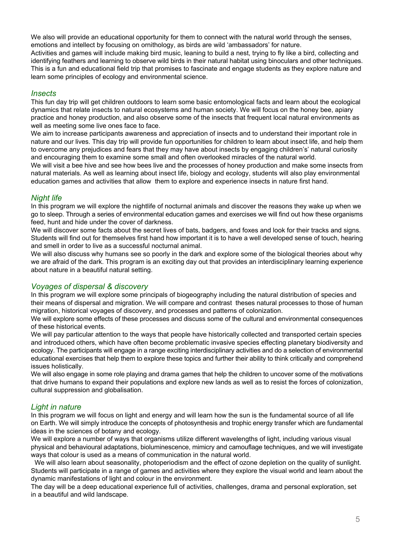We also will provide an educational opportunity for them to connect with the natural world through the senses, emotions and intellect by focusing on ornithology, as birds are wild 'ambassadors' for nature. Activities and games will include making bird music, leaning to build a nest, trying to fly like a bird, collecting and identifying feathers and learning to observe wild birds in their natural habitat using binoculars and other techniques. This is a fun and educational field trip that promises to fascinate and engage students as they explore nature and learn some principles of ecology and environmental science.

#### *Insects*

This fun day trip will get children outdoors to learn some basic entomological facts and learn about the ecological dynamics that relate insects to natural ecosystems and human society. We will focus on the honey bee, apiary practice and honey production, and also observe some of the insects that frequent local natural environments as well as meeting some live ones face to face.

We aim to increase participants awareness and appreciation of insects and to understand their important role in nature and our lives. This day trip will provide fun opportunities for children to learn about insect life, and help them to overcome any prejudices and fears that they may have about insects by engaging children's' natural curiosity and encouraging them to examine some small and often overlooked miracles of the natural world.

We will visit a bee hive and see how bees live and the processes of honey production and make some insects from natural materials. As well as learning about insect life, biology and ecology, students will also play environmental education games and activities that allow them to explore and experience insects in nature first hand.

# *Night life*

In this program we will explore the nightlife of nocturnal animals and discover the reasons they wake up when we go to sleep. Through a series of environmental education games and exercises we will find out how these organisms feed, hunt and hide under the cover of darkness.

We will discover some facts about the secret lives of bats, badgers, and foxes and look for their tracks and signs. Students will find out for themselves first hand how important it is to have a well developed sense of touch, hearing and smell in order to live as a successful nocturnal animal.

We will also discuss why humans see so poorly in the dark and explore some of the biological theories about why we are afraid of the dark. This program is an exciting day out that provides an interdisciplinary learning experience about nature in a beautiful natural setting.

# *Voyages of dispersal & discovery*

In this program we will explore some principals of biogeography including the natural distribution of species and their means of dispersal and migration. We will compare and contrast theses natural processes to those of human migration, historical voyages of discovery, and processes and patterns of colonization.

We will explore some effects of these processes and discuss some of the cultural and environmental consequences of these historical events.

We will pay particular attention to the ways that people have historically collected and transported certain species and introduced others, which have often become problematic invasive species effecting planetary biodiversity and ecology. The participants will engage in a range exciting interdisciplinary activities and do a selection of environmental educational exercises that help them to explore these topics and further their ability to think critically and comprehend issues holistically.

We will also engage in some role playing and drama games that help the children to uncover some of the motivations that drive humans to expand their populations and explore new lands as well as to resist the forces of colonization, cultural suppression and globalisation.

# *Light in nature*

In this program we will focus on light and energy and will learn how the sun is the fundamental source of all life on Earth. We will simply introduce the concepts of photosynthesis and trophic energy transfer which are fundamental ideas in the sciences of botany and ecology.

We will explore a number of ways that organisms utilize different wavelengths of light, including various visual physical and behavioural adaptations, bioluminescence, mimicry and camouflage techniques, and we will investigate ways that colour is used as a means of communication in the natural world.

 We will also learn about seasonality, photoperiodism and the effect of ozone depletion on the quality of sunlight. Students will participate in a range of games and activities where they explore the visual world and learn about the dynamic manifestations of light and colour in the environment.

The day will be a deep educational experience full of activities, challenges, drama and personal exploration, set in a beautiful and wild landscape.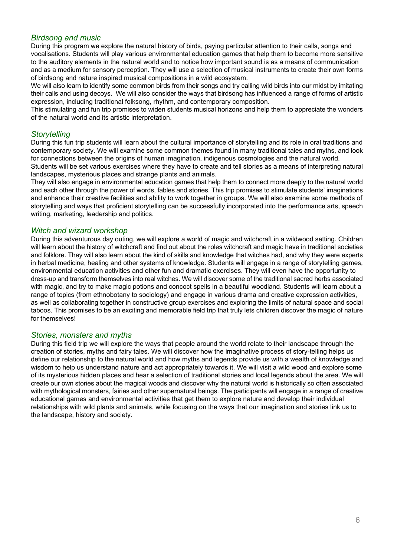# *Birdsong and music*

During this program we explore the natural history of birds, paying particular attention to their calls, songs and vocalisations. Students will play various environmental education games that help them to become more sensitive to the auditory elements in the natural world and to notice how important sound is as a means of communication and as a medium for sensory perception. They will use a selection of musical instruments to create their own forms of birdsong and nature inspired musical compositions in a wild ecosystem.

We will also learn to identify some common birds from their songs and try calling wild birds into our midst by imitating their calls and using decoys. We will also consider the ways that birdsong has influenced a range of forms of artistic expression, including traditional folksong, rhythm, and contemporary composition.

This stimulating and fun trip promises to widen students musical horizons and help them to appreciate the wonders of the natural world and its artistic interpretation.

# *Storytelling*

During this fun trip students will learn about the cultural importance of storytelling and its role in oral traditions and contemporary society. We will examine some common themes found in many traditional tales and myths, and look for connections between the origins of human imagination, indigenous cosmologies and the natural world.

Students will be set various exercises where they have to create and tell stories as a means of interpreting natural landscapes, mysterious places and strange plants and animals.

They will also engage in environmental education games that help them to connect more deeply to the natural world and each other through the power of words, fables and stories. This trip promises to stimulate students' imaginations and enhance their creative facilities and ability to work together in groups. We will also examine some methods of storytelling and ways that proficient storytelling can be successfully incorporated into the performance arts, speech writing, marketing, leadership and politics.

#### *Witch and wizard workshop*

During this adventurous day outing, we will explore a world of magic and witchcraft in a wildwood setting. Children will learn about the history of witchcraft and find out about the roles witchcraft and magic have in traditional societies and folklore. They will also learn about the kind of skills and knowledge that witches had, and why they were experts in herbal medicine, healing and other systems of knowledge. Students will engage in a range of storytelling games, environmental education activities and other fun and dramatic exercises. They will even have the opportunity to dress-up and transform themselves into real witches. We will discover some of the traditional sacred herbs associated with magic, and try to make magic potions and concoct spells in a beautiful woodland. Students will learn about a range of topics (from ethnobotany to sociology) and engage in various drama and creative expression activities, as well as collaborating together in constructive group exercises and exploring the limits of natural space and social taboos. This promises to be an exciting and memorable field trip that truly lets children discover the magic of nature for themselves!

#### *Stories, monsters and myths*

During this field trip we will explore the ways that people around the world relate to their landscape through the creation of stories, myths and fairy tales. We will discover how the imaginative process of story-telling helps us define our relationship to the natural world and how myths and legends provide us with a wealth of knowledge and wisdom to help us understand nature and act appropriately towards it. We will visit a wild wood and explore some of its mysterious hidden places and hear a selection of traditional stories and local legends about the area. We will create our own stories about the magical woods and discover why the natural world is historically so often associated with mythological monsters, fairies and other supernatural beings. The participants will engage in a range of creative educational games and environmental activities that get them to explore nature and develop their individual relationships with wild plants and animals, while focusing on the ways that our imagination and stories link us to the landscape, history and society.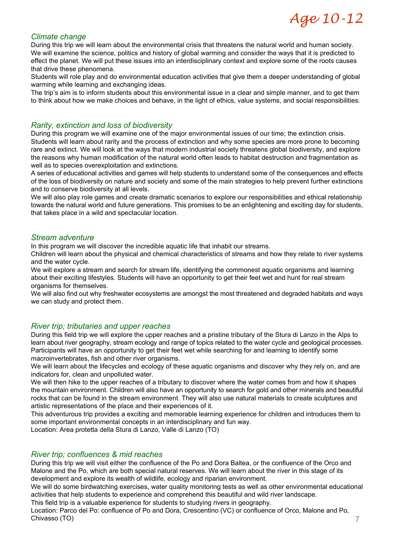# Age 10-12

# *Climate change*

During this trip we will learn about the environmental crisis that threatens the natural world and human society. We will examine the science, politics and history of global warming and consider the ways that it is predicted to effect the planet. We will put these issues into an interdisciplinary context and explore some of the roots causes that drive these phenomena.

Students will role play and do environmental education activities that give them a deeper understanding of global warming while learning and exchanging ideas.

The trip's aim is to inform students about this environmental issue in a clear and simple manner, and to get them to think about how we make choices and behave, in the light of ethics, value systems, and social responsibilities.

# *Rarity, extinction and loss of biodiversity*

During this program we will examine one of the major environmental issues of our time; the extinction crisis. Students will learn about rarity and the process of extinction and why some species are more prone to becoming rare and extinct. We will look at the ways that modern industrial society threatens global biodiversity, and explore the reasons why human modification of the natural world often leads to habitat destruction and fragmentation as well as to species overexploitation and extinctions.

A series of educational activities and games will help students to understand some of the consequences and effects of the loss of biodiversity on nature and society and some of the main strategies to help prevent further extinctions and to conserve biodiversity at all levels.

We will also play role games and create dramatic scenarios to explore our responsibilities and ethical relationship towards the natural world and future generations. This promises to be an enlightening and exciting day for students, that takes place in a wild and spectacular location.

#### *Stream adventure*

In this program we will discover the incredible aquatic life that inhabit our streams.

Children will learn about the physical and chemical characteristics of streams and how they relate to river systems and the water cycle.

We will explore a stream and search for stream life, identifying the commonest aquatic organisms and learning about their exciting lifestyles. Students will have an opportunity to get their feet wet and hunt for real stream organisms for themselves.

We will also find out why freshwater ecosystems are amongst the most threatened and degraded habitats and ways we can study and protect them.

# *River trip; tributaries and upper reaches*

During this field trip we will explore the upper reaches and a pristine tributary of the Stura di Lanzo in the Alps to learn about river geography, stream ecology and range of topics related to the water cycle and geological processes. Participants will have an opportunity to get their feet wet while searching for and learning to identify some macroinvertebrates, fish and other river organisms.

We will learn about the lifecycles and ecology of these aquatic organisms and discover why they rely on, and are indicators for, clean and unpolluted water.

We will then hike to the upper reaches of a tributary to discover where the water comes from and how it shapes the mountain environment. Children will also have an opportunity to search for gold and other minerals and beautiful rocks that can be found in the stream environment. They will also use natural materials to create sculptures and artistic representations of the place and their experiences of it.

This adventurous trip provides a exciting and memorable learning experience for children and introduces them to some important environmental concepts in an interdisciplinary and fun way.

Location: Area protetta della Stura di Lanzo, Valle di Lanzo (TO)

# *River trip; confluences & mid reaches*

During this trip we will visit either the confluence of the Po and Dora Baltea, or the confluence of the Orco and Malone and the Po, which are both special natural reserves. We will learn about the river in this stage of its development and explore its wealth of wildlife, ecology and riparian environment.

We will do some birdwatching exercises, water quality monitoring tests as well as other environmental educational activities that help students to experience and comprehend this beautiful and wild river landscape.

This field trip is a valuable experience for students to studying rivers in geography.

Location: Parco del Po: confluence of Po and Dora, Crescentino (VC) or confluence of Orco, Malone and Po, Chivasso (TO)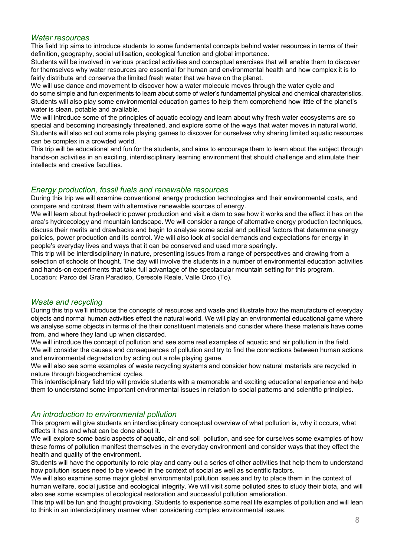#### *Water resources*

This field trip aims to introduce students to some fundamental concepts behind water resources in terms of their definition, geography, social utilisation, ecological function and global importance.

Students will be involved in various practical activities and conceptual exercises that will enable them to discover for themselves why water resources are essential for human and environmental health and how complex it is to fairly distribute and conserve the limited fresh water that we have on the planet.

We will use dance and movement to discover how a water molecule moves through the water cycle and do some simple and fun experiments to learn about some of water's fundamental physical and chemical characteristics. Students will also play some environmental education games to help them comprehend how little of the planet's water is clean, potable and available.

We will introduce some of the principles of aquatic ecology and learn about why fresh water ecosystems are so special and becoming increasingly threatened, and explore some of the ways that water moves in natural world. Students will also act out some role playing games to discover for ourselves why sharing limited aquatic resources can be complex in a crowded world.

This trip will be educational and fun for the students, and aims to encourage them to learn about the subject through hands-on activities in an exciting, interdisciplinary learning environment that should challenge and stimulate their intellects and creative faculties.

# *Energy production, fossil fuels and renewable resources*

During this trip we will examine conventional energy production technologies and their environmental costs, and compare and contrast them with alternative renewable sources of energy.

We will learn about hydroelectric power production and visit a dam to see how it works and the effect it has on the area's hydroecology and mountain landscape. We will consider a range of alternative energy production techniques, discuss their merits and drawbacks and begin to analyse some social and political factors that determine energy policies, power production and its control. We will also look at social demands and expectations for energy in people's everyday lives and ways that it can be conserved and used more sparingly.

This trip will be interdisciplinary in nature, presenting issues from a range of perspectives and drawing from a selection of schools of thought. The day will involve the students in a number of environmental education activities and hands-on experiments that take full advantage of the spectacular mountain setting for this program. Location: Parco del Gran Paradiso, Ceresole Reale, Valle Orco (To).

#### *Waste and recycling*

During this trip we'll introduce the concepts of resources and waste and illustrate how the manufacture of everyday objects and normal human activities effect the natural world. We will play an environmental educational game where we analyse some objects in terms of the their constituent materials and consider where these materials have come from, and where they land up when discarded.

We will introduce the concept of pollution and see some real examples of aquatic and air pollution in the field. We will consider the causes and consequences of pollution and try to find the connections between human actions and environmental degradation by acting out a role playing game.

We will also see some examples of waste recycling systems and consider how natural materials are recycled in nature through biogeochemical cycles.

This interdisciplinary field trip will provide students with a memorable and exciting educational experience and help them to understand some important environmental issues in relation to social patterns and scientific principles.

# *An introduction to environmental pollution*

This program will give students an interdisciplinary conceptual overview of what pollution is, why it occurs, what effects it has and what can be done about it.

We will explore some basic aspects of aquatic, air and soil pollution, and see for ourselves some examples of how these forms of pollution manifest themselves in the everyday environment and consider ways that they effect the health and quality of the environment.

Students will have the opportunity to role play and carry out a series of other activities that help them to understand how pollution issues need to be viewed in the context of social as well as scientific factors.

We will also examine some major global environmental pollution issues and try to place them in the context of human welfare, social justice and ecological integrity. We will visit some polluted sites to study their biota, and will also see some examples of ecological restoration and successful pollution amelioration.

This trip will be fun and thought provoking. Students to experience some real life examples of pollution and will lean to think in an interdisciplinary manner when considering complex environmental issues.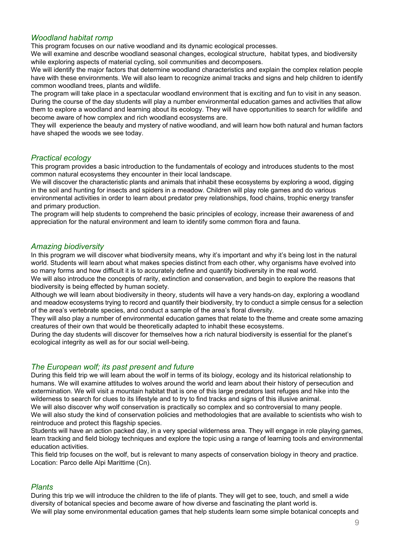# *Woodland habitat romp*

This program focuses on our native woodland and its dynamic ecological processes.

We will examine and describe woodland seasonal changes, ecological structure, habitat types, and biodiversity while exploring aspects of material cycling, soil communities and decomposers.

We will identify the major factors that determine woodland characteristics and explain the complex relation people have with these environments. We will also learn to recognize animal tracks and signs and help children to identify common woodland trees, plants and wildlife.

The program will take place in a spectacular woodland environment that is exciting and fun to visit in any season. During the course of the day students will play a number environmental education games and activities that allow them to explore a woodland and learning about its ecology. They will have opportunities to search for wildlife and become aware of how complex and rich woodland ecosystems are.

They will experience the beauty and mystery of native woodland, and will learn how both natural and human factors have shaped the woods we see today.

# *Practical ecology*

This program provides a basic introduction to the fundamentals of ecology and introduces students to the most common natural ecosystems they encounter in their local landscape.

We will discover the characteristic plants and animals that inhabit these ecosystems by exploring a wood, digging in the soil and hunting for insects and spiders in a meadow. Children will play role games and do various environmental activities in order to learn about predator prey relationships, food chains, trophic energy transfer and primary production.

The program will help students to comprehend the basic principles of ecology, increase their awareness of and appreciation for the natural environment and learn to identify some common flora and fauna.

# *Amazing biodiversity*

In this program we will discover what biodiversity means, why it's important and why it's being lost in the natural world. Students will learn about what makes species distinct from each other, why organisms have evolved into so many forms and how difficult it is to accurately define and quantify biodiversity in the real world.

We will also introduce the concepts of rarity, extinction and conservation, and begin to explore the reasons that biodiversity is being effected by human society.

Although we will learn about biodiversity in theory, students will have a very hands-on day, exploring a woodland and meadow ecosystems trying to record and quantify their biodiversity, try to conduct a simple census for a selection of the area's vertebrate species, and conduct a sample of the area's floral diversity.

They will also play a number of environmental education games that relate to the theme and create some amazing creatures of their own that would be theoretically adapted to inhabit these ecosystems.

During the day students will discover for themselves how a rich natural biodiversity is essential for the planet's ecological integrity as well as for our social well-being.

# *The European wolf; its past present and future*

During this field trip we will learn about the wolf in terms of its biology, ecology and its historical relationship to humans. We will examine attitudes to wolves around the world and learn about their history of persecution and extermination. We will visit a mountain habitat that is one of this large predators last refuges and hike into the wilderness to search for clues to its lifestyle and to try to find tracks and signs of this illusive animal.

We will also discover why wolf conservation is practically so complex and so controversial to many people. We will also study the kind of conservation policies and methodologies that are available to scientists who wish to reintroduce and protect this flagship species.

Students will have an action packed day, in a very special wilderness area. They will engage in role playing games, learn tracking and field biology techniques and explore the topic using a range of learning tools and environmental education activities.

This field trip focuses on the wolf, but is relevant to many aspects of conservation biology in theory and practice. Location: Parco delle Alpi Marittime (Cn).

# *Plants*

During this trip we will introduce the children to the life of plants. They will get to see, touch, and smell a wide diversity of botanical species and become aware of how diverse and fascinating the plant world is. We will play some environmental education games that help students learn some simple botanical concepts and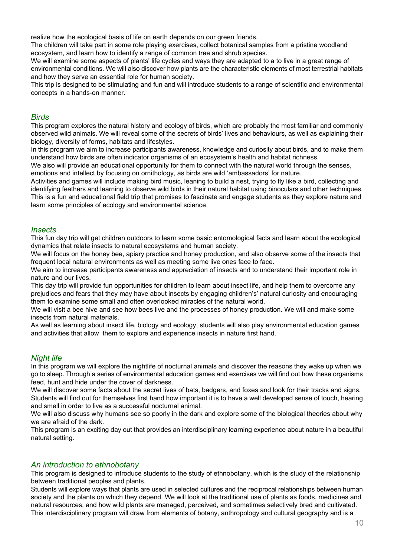realize how the ecological basis of life on earth depends on our green friends.

The children will take part in some role playing exercises, collect botanical samples from a pristine woodland ecosystem, and learn how to identify a range of common tree and shrub species.

We will examine some aspects of plants' life cycles and ways they are adapted to a to live in a great range of environmental conditions. We will also discover how plants are the characteristic elements of most terrestrial habitats and how they serve an essential role for human society.

This trip is designed to be stimulating and fun and will introduce students to a range of scientific and environmental concepts in a hands-on manner.

#### *Birds*

This program explores the natural history and ecology of birds, which are probably the most familiar and commonly observed wild animals. We will reveal some of the secrets of birds' lives and behaviours, as well as explaining their biology, diversity of forms, habitats and lifestyles.

In this program we aim to increase participants awareness, knowledge and curiosity about birds, and to make them understand how birds are often indicator organisms of an ecosystem's health and habitat richness.

We also will provide an educational opportunity for them to connect with the natural world through the senses, emotions and intellect by focusing on ornithology, as birds are wild 'ambassadors' for nature.

Activities and games will include making bird music, leaning to build a nest, trying to fly like a bird, collecting and identifying feathers and learning to observe wild birds in their natural habitat using binoculars and other techniques. This is a fun and educational field trip that promises to fascinate and engage students as they explore nature and learn some principles of ecology and environmental science.

#### *Insects*

This fun day trip will get children outdoors to learn some basic entomological facts and learn about the ecological dynamics that relate insects to natural ecosystems and human society.

We will focus on the honey bee, apiary practice and honey production, and also observe some of the insects that frequent local natural environments as well as meeting some live ones face to face.

We aim to increase participants awareness and appreciation of insects and to understand their important role in nature and our lives.

This day trip will provide fun opportunities for children to learn about insect life, and help them to overcome any prejudices and fears that they may have about insects by engaging children's' natural curiosity and encouraging them to examine some small and often overlooked miracles of the natural world.

We will visit a bee hive and see how bees live and the processes of honey production. We will and make some insects from natural materials.

As well as learning about insect life, biology and ecology, students will also play environmental education games and activities that allow them to explore and experience insects in nature first hand.

# *Night life*

In this program we will explore the nightlife of nocturnal animals and discover the reasons they wake up when we go to sleep. Through a series of environmental education games and exercises we will find out how these organisms feed, hunt and hide under the cover of darkness.

We will discover some facts about the secret lives of bats, badgers, and foxes and look for their tracks and signs. Students will find out for themselves first hand how important it is to have a well developed sense of touch, hearing and smell in order to live as a successful nocturnal animal.

We will also discuss why humans see so poorly in the dark and explore some of the biological theories about why we are afraid of the dark.

This program is an exciting day out that provides an interdisciplinary learning experience about nature in a beautiful natural setting.

# *An introduction to ethnobotany*

This program is designed to introduce students to the study of ethnobotany, which is the study of the relationship between traditional peoples and plants.

Students will explore ways that plants are used in selected cultures and the reciprocal relationships between human society and the plants on which they depend. We will look at the traditional use of plants as foods, medicines and natural resources, and how wild plants are managed, perceived, and sometimes selectively bred and cultivated. This interdisciplinary program will draw from elements of botany, anthropology and cultural geography and is a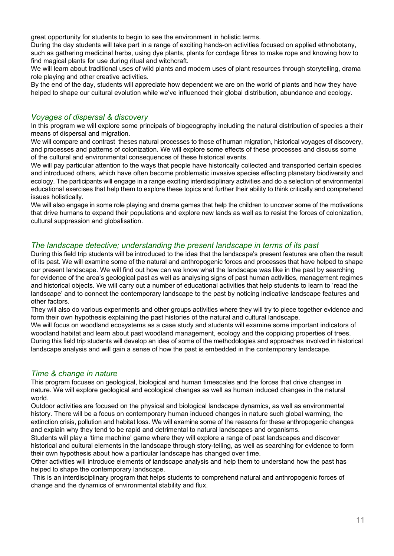great opportunity for students to begin to see the environment in holistic terms.

During the day students will take part in a range of exciting hands-on activities focused on applied ethnobotany, such as gathering medicinal herbs, using dye plants, plants for cordage fibres to make rope and knowing how to find magical plants for use during ritual and witchcraft.

We will learn about traditional uses of wild plants and modern uses of plant resources through storytelling, drama role playing and other creative activities.

By the end of the day, students will appreciate how dependent we are on the world of plants and how they have helped to shape our cultural evolution while we've influenced their global distribution, abundance and ecology.

#### *Voyages of dispersal & discovery*

In this program we will explore some principals of biogeography including the natural distribution of species a their means of dispersal and migration.

We will compare and contrast theses natural processes to those of human migration, historical voyages of discovery, and processes and patterns of colonization. We will explore some effects of these processes and discuss some of the cultural and environmental consequences of these historical events.

We will pay particular attention to the ways that people have historically collected and transported certain species and introduced others, which have often become problematic invasive species effecting planetary biodiversity and ecology. The participants will engage in a range exciting interdisciplinary activities and do a selection of environmental educational exercises that help them to explore these topics and further their ability to think critically and comprehend issues holistically.

We will also engage in some role playing and drama games that help the children to uncover some of the motivations that drive humans to expand their populations and explore new lands as well as to resist the forces of colonization, cultural suppression and globalisation.

# *The landscape detective; understanding the present landscape in terms of its past*

During this field trip students will be introduced to the idea that the landscape's present features are often the result of its past. We will examine some of the natural and anthropogenic forces and processes that have helped to shape our present landscape. We will find out how can we know what the landscape was like in the past by searching for evidence of the area's geological past as well as analysing signs of past human activities, management regimes and historical objects. We will carry out a number of educational activities that help students to learn to 'read the landscape' and to connect the contemporary landscape to the past by noticing indicative landscape features and other factors.

They will also do various experiments and other groups activities where they will try to piece together evidence and form their own hypothesis explaining the past histories of the natural and cultural landscape.

We will focus on woodland ecosystems as a case study and students will examine some important indicators of woodland habitat and learn about past woodland management, ecology and the coppicing properties of trees. During this field trip students will develop an idea of some of the methodologies and approaches involved in historical landscape analysis and will gain a sense of how the past is embedded in the contemporary landscape.

# *Time & change in nature*

This program focuses on geological, biological and human timescales and the forces that drive changes in nature. We will explore geological and ecological changes as well as human induced changes in the natural world.

Outdoor activities are focused on the physical and biological landscape dynamics, as well as environmental history. There will be a focus on contemporary human induced changes in nature such global warming, the extinction crisis, pollution and habitat loss. We will examine some of the reasons for these anthropogenic changes and explain why they tend to be rapid and detrimental to natural landscapes and organisms.

Students will play a 'time machine' game where they will explore a range of past landscapes and discover historical and cultural elements in the landscape through story-telling, as well as searching for evidence to form their own hypothesis about how a particular landscape has changed over time.

Other activities will introduce elements of landscape analysis and help them to understand how the past has helped to shape the contemporary landscape.

 This is an interdisciplinary program that helps students to comprehend natural and anthropogenic forces of change and the dynamics of environmental stability and flux.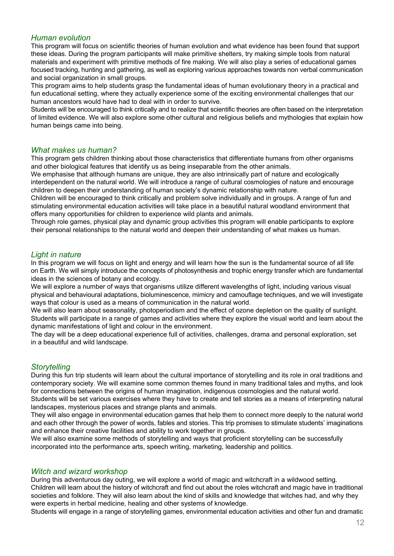# *Human evolution*

This program will focus on scientific theories of human evolution and what evidence has been found that support these ideas. During the program participants will make primitive shelters, try making simple tools from natural materials and experiment with primitive methods of fire making. We will also play a series of educational games focused tracking, hunting and gathering, as well as exploring various approaches towards non verbal communication and social organization in small groups.

This program aims to help students grasp the fundamental ideas of human evolutionary theory in a practical and fun educational setting, where they actually experience some of the exciting environmental challenges that our human ancestors would have had to deal with in order to survive.

Students will be encouraged to think critically and to realize that scientific theories are often based on the interpretation of limited evidence. We will also explore some other cultural and religious beliefs and mythologies that explain how human beings came into being.

#### *What makes us human?*

This program gets children thinking about those characteristics that differentiate humans from other organisms and other biological features that identify us as being inseparable from the other animals.

We emphasise that although humans are unique, they are also intrinsically part of nature and ecologically interdependent on the natural world. We will introduce a range of cultural cosmologies of nature and encourage children to deepen their understanding of human society's dynamic relationship with nature.

Children will be encouraged to think critically and problem solve individually and in groups. A range of fun and stimulating environmental education activities will take place in a beautiful natural woodland environment that offers many opportunities for children to experience wild plants and animals.

Through role games, physical play and dynamic group activities this program will enable participants to explore their personal relationships to the natural world and deepen their understanding of what makes us human.

#### *Light in nature*

In this program we will focus on light and energy and will learn how the sun is the fundamental source of all life on Earth. We will simply introduce the concepts of photosynthesis and trophic energy transfer which are fundamental ideas in the sciences of botany and ecology.

We will explore a number of ways that organisms utilize different wavelengths of light, including various visual physical and behavioural adaptations, bioluminescence, mimicry and camouflage techniques, and we will investigate ways that colour is used as a means of communication in the natural world.

We will also learn about seasonality, photoperiodism and the effect of ozone depletion on the quality of sunlight. Students will participate in a range of games and activities where they explore the visual world and learn about the dynamic manifestations of light and colour in the environment.

The day will be a deep educational experience full of activities, challenges, drama and personal exploration, set in a beautiful and wild landscape.

# *Storytelling*

During this fun trip students will learn about the cultural importance of storytelling and its role in oral traditions and contemporary society. We will examine some common themes found in many traditional tales and myths, and look for connections between the origins of human imagination, indigenous cosmologies and the natural world.

Students will be set various exercises where they have to create and tell stories as a means of interpreting natural landscapes, mysterious places and strange plants and animals.

They will also engage in environmental education games that help them to connect more deeply to the natural world and each other through the power of words, fables and stories. This trip promises to stimulate students' imaginations and enhance their creative facilities and ability to work together in groups.

We will also examine some methods of storytelling and ways that proficient storytelling can be successfully incorporated into the performance arts, speech writing, marketing, leadership and politics.

# *Witch and wizard workshop*

During this adventurous day outing, we will explore a world of magic and witchcraft in a wildwood setting. Children will learn about the history of witchcraft and find out about the roles witchcraft and magic have in traditional societies and folklore. They will also learn about the kind of skills and knowledge that witches had, and why they were experts in herbal medicine, healing and other systems of knowledge.

Students will engage in a range of storytelling games, environmental education activities and other fun and dramatic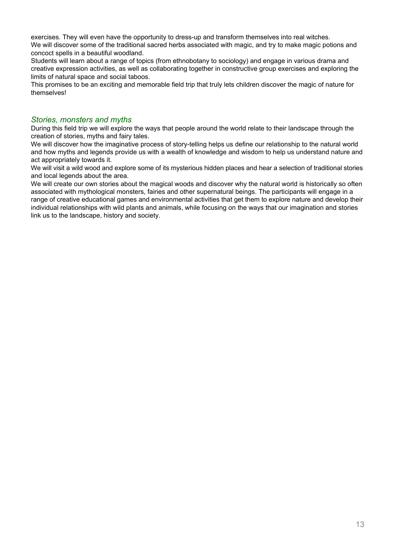exercises. They will even have the opportunity to dress-up and transform themselves into real witches. We will discover some of the traditional sacred herbs associated with magic, and try to make magic potions and concoct spells in a beautiful woodland.

Students will learn about a range of topics (from ethnobotany to sociology) and engage in various drama and creative expression activities, as well as collaborating together in constructive group exercises and exploring the limits of natural space and social taboos.

This promises to be an exciting and memorable field trip that truly lets children discover the magic of nature for themselves!

# *Stories, monsters and myths*

During this field trip we will explore the ways that people around the world relate to their landscape through the creation of stories, myths and fairy tales.

We will discover how the imaginative process of story-telling helps us define our relationship to the natural world and how myths and legends provide us with a wealth of knowledge and wisdom to help us understand nature and act appropriately towards it.

We will visit a wild wood and explore some of its mysterious hidden places and hear a selection of traditional stories and local legends about the area.

We will create our own stories about the magical woods and discover why the natural world is historically so often associated with mythological monsters, fairies and other supernatural beings. The participants will engage in a range of creative educational games and environmental activities that get them to explore nature and develop their individual relationships with wild plants and animals, while focusing on the ways that our imagination and stories link us to the landscape, history and society.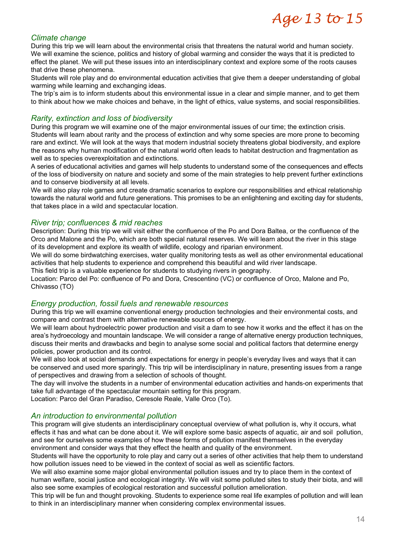# Age 13 to 15

#### *Climate change*

During this trip we will learn about the environmental crisis that threatens the natural world and human society. We will examine the science, politics and history of global warming and consider the ways that it is predicted to effect the planet. We will put these issues into an interdisciplinary context and explore some of the roots causes that drive these phenomena.

Students will role play and do environmental education activities that give them a deeper understanding of global warming while learning and exchanging ideas.

The trip's aim is to inform students about this environmental issue in a clear and simple manner, and to get them to think about how we make choices and behave, in the light of ethics, value systems, and social responsibilities.

#### *Rarity, extinction and loss of biodiversity*

During this program we will examine one of the major environmental issues of our time; the extinction crisis. Students will learn about rarity and the process of extinction and why some species are more prone to becoming rare and extinct. We will look at the ways that modern industrial society threatens global biodiversity, and explore the reasons why human modification of the natural world often leads to habitat destruction and fragmentation as well as to species overexploitation and extinctions.

A series of educational activities and games will help students to understand some of the consequences and effects of the loss of biodiversity on nature and society and some of the main strategies to help prevent further extinctions and to conserve biodiversity at all levels.

We will also play role games and create dramatic scenarios to explore our responsibilities and ethical relationship towards the natural world and future generations. This promises to be an enlightening and exciting day for students, that takes place in a wild and spectacular location.

#### *River trip; confluences & mid reaches*

Description: During this trip we will visit either the confluence of the Po and Dora Baltea, or the confluence of the Orco and Malone and the Po, which are both special natural reserves. We will learn about the river in this stage of its development and explore its wealth of wildlife, ecology and riparian environment.

We will do some birdwatching exercises, water quality monitoring tests as well as other environmental educational activities that help students to experience and comprehend this beautiful and wild river landscape.

This field trip is a valuable experience for students to studying rivers in geography.

Location: Parco del Po: confluence of Po and Dora, Crescentino (VC) or confluence of Orco, Malone and Po, Chivasso (TO)

#### *Energy production, fossil fuels and renewable resources*

During this trip we will examine conventional energy production technologies and their environmental costs, and compare and contrast them with alternative renewable sources of energy.

We will learn about hydroelectric power production and visit a dam to see how it works and the effect it has on the area's hydroecology and mountain landscape. We will consider a range of alternative energy production techniques, discuss their merits and drawbacks and begin to analyse some social and political factors that determine energy policies, power production and its control.

We will also look at social demands and expectations for energy in people's everyday lives and ways that it can be conserved and used more sparingly. This trip will be interdisciplinary in nature, presenting issues from a range of perspectives and drawing from a selection of schools of thought.

The day will involve the students in a number of environmental education activities and hands-on experiments that take full advantage of the spectacular mountain setting for this program.

Location: Parco del Gran Paradiso, Ceresole Reale, Valle Orco (To).

#### *An introduction to environmental pollution*

This program will give students an interdisciplinary conceptual overview of what pollution is, why it occurs, what effects it has and what can be done about it. We will explore some basic aspects of aquatic, air and soil pollution, and see for ourselves some examples of how these forms of pollution manifest themselves in the everyday environment and consider ways that they effect the health and quality of the environment.

Students will have the opportunity to role play and carry out a series of other activities that help them to understand how pollution issues need to be viewed in the context of social as well as scientific factors.

We will also examine some major global environmental pollution issues and try to place them in the context of human welfare, social justice and ecological integrity. We will visit some polluted sites to study their biota, and will also see some examples of ecological restoration and successful pollution amelioration.

This trip will be fun and thought provoking. Students to experience some real life examples of pollution and will lean to think in an interdisciplinary manner when considering complex environmental issues.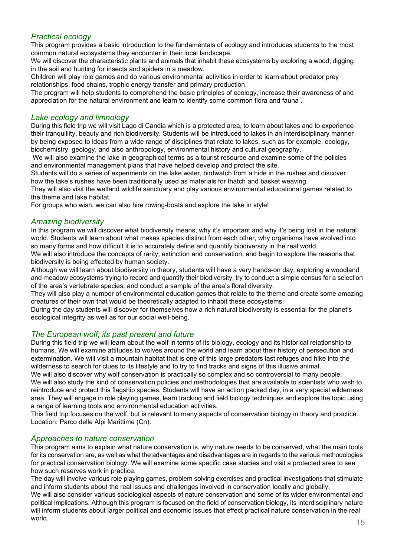# *Practical ecology*

This program provides a basic introduction to the fundamentals of ecology and introduces students to the most common natural ecosystems they encounter in their local landscape.

We will discover the characteristic plants and animals that inhabit these ecosystems by exploring a wood, digging in the soil and hunting for insects and spiders in a meadow.

Children will play role games and do various environmental activities in order to learn about predator prey relationships, food chains, trophic energy transfer and primary production.

The program will help students to comprehend the basic principles of ecology, increase their awareness of and appreciation for the natural environment and learn to identify some common flora and fauna .

#### *Lake ecology and limnology*

During this field trip we will visit Lago di Candia which is a protected area, to learn about lakes and to experience their tranquillity, beauty and rich biodiversity. Students will be introduced to lakes in an interdisciplinary manner by being exposed to ideas from a wide range of disciplines that relate to lakes, such as for example, ecology, biochemistry, geology, and also anthropology, environmental history and cultural geography.

 We will also examine the lake in geographical terms as a tourist resource and examine some of the policies and environmental management plans that have helped develop and protect the site.

Students will do a series of experiments on the lake water, birdwatch from a hide in the rushes and discover how the lake's rushes have been traditionally used as materials for thatch and basket weaving.

They will also visit the wetland wildlife sanctuary and play various environmental educational games related to the theme and lake habitat.

For groups who wish, we can also hire rowing-boats and explore the lake in style!

#### *Amazing biodiversity*

In this program we will discover what biodiversity means, why it's important and why it's being lost in the natural world. Students will learn about what makes species distinct from each other, why organisms have evolved into so many forms and how difficult it is to accurately define and quantify biodiversity in the real world.

We will also introduce the concepts of rarity, extinction and conservation, and begin to explore the reasons that biodiversity is being effected by human society.

Although we will learn about biodiversity in theory, students will have a very hands-on day, exploring a woodland and meadow ecosystems trying to record and quantify their biodiversity, try to conduct a simple census for a selection of the area's vertebrate species, and conduct a sample of the area's floral diversity.

They will also play a number of environmental education games that relate to the theme and create some amazing creatures of their own that would be theoretically adapted to inhabit these ecosystems.

During the day students will discover for themselves how a rich natural biodiversity is essential for the planet's ecological integrity as well as for our social well-being.

# *The European wolf; its past present and future*

During this field trip we will learn about the wolf in terms of its biology, ecology and its historical relationship to humans. We will examine attitudes to wolves around the world and learn about their history of persecution and extermination. We will visit a mountain habitat that is one of this large predators last refuges and hike into the wilderness to search for clues to its lifestyle and to try to find tracks and signs of this illusive animal.

We will also discover why wolf conservation is practically so complex and so controversial to many people. We will also study the kind of conservation policies and methodologies that are available to scientists who wish to reintroduce and protect this flagship species. Students will have an action packed day, in a very special wilderness area. They will engage in role playing games, learn tracking and field biology techniques and explore the topic using a range of learning tools and environmental education activities.

This field trip focuses on the wolf, but is relevant to many aspects of conservation biology in theory and practice. Location: Parco delle Alpi Marittime (Cn).

#### *Approaches to nature conservation*

This program aims to explain what nature conservation is, why nature needs to be conserved, what the main tools for its conservation are, as well as what the advantages and disadvantages are in regards to the various methodologies for practical conservation biology. We will examine some specific case studies and visit a protected area to see how such reserves work in practice.

The day will involve various role playing games, problem solving exercises and practical investigations that stimulate and inform students about the real issues and challenges involved in conservation locally and globally.

We will also consider various sociological aspects of nature conservation and some of its wider environmental and political implications. Although this program is focused on the field of conservation biology, its interdisciplinary nature will inform students about larger political and economic issues that effect practical nature conservation in the real  $\blacksquare$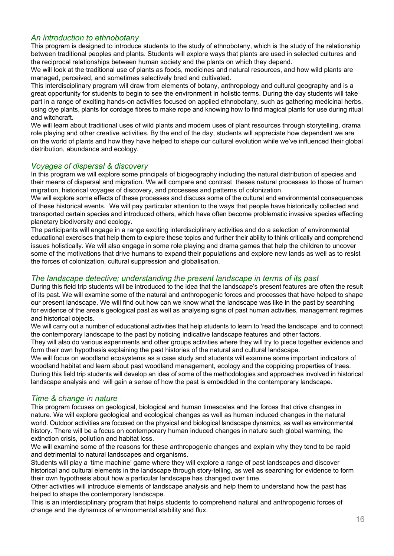# *An introduction to ethnobotany*

This program is designed to introduce students to the study of ethnobotany, which is the study of the relationship between traditional peoples and plants. Students will explore ways that plants are used in selected cultures and the reciprocal relationships between human society and the plants on which they depend.

We will look at the traditional use of plants as foods, medicines and natural resources, and how wild plants are managed, perceived, and sometimes selectively bred and cultivated.

This interdisciplinary program will draw from elements of botany, anthropology and cultural geography and is a great opportunity for students to begin to see the environment in holistic terms. During the day students will take part in a range of exciting hands-on activities focused on applied ethnobotany, such as gathering medicinal herbs, using dye plants, plants for cordage fibres to make rope and knowing how to find magical plants for use during ritual and witchcraft.

We will learn about traditional uses of wild plants and modern uses of plant resources through storytelling, drama role playing and other creative activities. By the end of the day, students will appreciate how dependent we are on the world of plants and how they have helped to shape our cultural evolution while we've influenced their global distribution, abundance and ecology.

#### *Voyages of dispersal & discovery*

In this program we will explore some principals of biogeography including the natural distribution of species and their means of dispersal and migration. We will compare and contrast theses natural processes to those of human migration, historical voyages of discovery, and processes and patterns of colonization.

We will explore some effects of these processes and discuss some of the cultural and environmental consequences of these historical events. We will pay particular attention to the ways that people have historically collected and transported certain species and introduced others, which have often become problematic invasive species effecting planetary biodiversity and ecology.

The participants will engage in a range exciting interdisciplinary activities and do a selection of environmental educational exercises that help them to explore these topics and further their ability to think critically and comprehend issues holistically. We will also engage in some role playing and drama games that help the children to uncover some of the motivations that drive humans to expand their populations and explore new lands as well as to resist the forces of colonization, cultural suppression and globalisation.

#### *The landscape detective; understanding the present landscape in terms of its past*

During this field trip students will be introduced to the idea that the landscape's present features are often the result of its past. We will examine some of the natural and anthropogenic forces and processes that have helped to shape our present landscape. We will find out how can we know what the landscape was like in the past by searching for evidence of the area's geological past as well as analysing signs of past human activities, management regimes and historical objects.

We will carry out a number of educational activities that help students to learn to 'read the landscape' and to connect the contemporary landscape to the past by noticing indicative landscape features and other factors.

They will also do various experiments and other groups activities where they will try to piece together evidence and form their own hypothesis explaining the past histories of the natural and cultural landscape.

We will focus on woodland ecosystems as a case study and students will examine some important indicators of woodland habitat and learn about past woodland management, ecology and the coppicing properties of trees. During this field trip students will develop an idea of some of the methodologies and approaches involved in historical landscape analysis and will gain a sense of how the past is embedded in the contemporary landscape.

# *Time & change in nature*

This program focuses on geological, biological and human timescales and the forces that drive changes in nature. We will explore geological and ecological changes as well as human induced changes in the natural world. Outdoor activities are focused on the physical and biological landscape dynamics, as well as environmental history. There will be a focus on contemporary human induced changes in nature such global warming, the extinction crisis, pollution and habitat loss.

We will examine some of the reasons for these anthropogenic changes and explain why they tend to be rapid and detrimental to natural landscapes and organisms.

Students will play a 'time machine' game where they will explore a range of past landscapes and discover historical and cultural elements in the landscape through story-telling, as well as searching for evidence to form their own hypothesis about how a particular landscape has changed over time.

Other activities will introduce elements of landscape analysis and help them to understand how the past has helped to shape the contemporary landscape.

This is an interdisciplinary program that helps students to comprehend natural and anthropogenic forces of change and the dynamics of environmental stability and flux.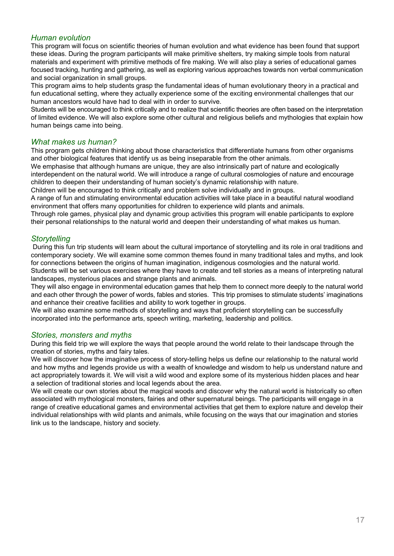# *Human evolution*

This program will focus on scientific theories of human evolution and what evidence has been found that support these ideas. During the program participants will make primitive shelters, try making simple tools from natural materials and experiment with primitive methods of fire making. We will also play a series of educational games focused tracking, hunting and gathering, as well as exploring various approaches towards non verbal communication and social organization in small groups.

This program aims to help students grasp the fundamental ideas of human evolutionary theory in a practical and fun educational setting, where they actually experience some of the exciting environmental challenges that our human ancestors would have had to deal with in order to survive.

Students will be encouraged to think critically and to realize that scientific theories are often based on the interpretation of limited evidence. We will also explore some other cultural and religious beliefs and mythologies that explain how human beings came into being.

#### *What makes us human?*

This program gets children thinking about those characteristics that differentiate humans from other organisms and other biological features that identify us as being inseparable from the other animals.

We emphasise that although humans are unique, they are also intrinsically part of nature and ecologically interdependent on the natural world. We will introduce a range of cultural cosmologies of nature and encourage children to deepen their understanding of human society's dynamic relationship with nature.

Children will be encouraged to think critically and problem solve individually and in groups.

A range of fun and stimulating environmental education activities will take place in a beautiful natural woodland environment that offers many opportunities for children to experience wild plants and animals.

Through role games, physical play and dynamic group activities this program will enable participants to explore their personal relationships to the natural world and deepen their understanding of what makes us human.

#### *Storytelling*

 During this fun trip students will learn about the cultural importance of storytelling and its role in oral traditions and contemporary society. We will examine some common themes found in many traditional tales and myths, and look for connections between the origins of human imagination, indigenous cosmologies and the natural world.

Students will be set various exercises where they have to create and tell stories as a means of interpreting natural landscapes, mysterious places and strange plants and animals.

They will also engage in environmental education games that help them to connect more deeply to the natural world and each other through the power of words, fables and stories. This trip promises to stimulate students' imaginations and enhance their creative facilities and ability to work together in groups.

We will also examine some methods of storytelling and ways that proficient storytelling can be successfully incorporated into the performance arts, speech writing, marketing, leadership and politics.

#### *Stories, monsters and myths*

During this field trip we will explore the ways that people around the world relate to their landscape through the creation of stories, myths and fairy tales.

We will discover how the imaginative process of story-telling helps us define our relationship to the natural world and how myths and legends provide us with a wealth of knowledge and wisdom to help us understand nature and act appropriately towards it. We will visit a wild wood and explore some of its mysterious hidden places and hear a selection of traditional stories and local legends about the area.

We will create our own stories about the magical woods and discover why the natural world is historically so often associated with mythological monsters, fairies and other supernatural beings. The participants will engage in a range of creative educational games and environmental activities that get them to explore nature and develop their individual relationships with wild plants and animals, while focusing on the ways that our imagination and stories link us to the landscape, history and society.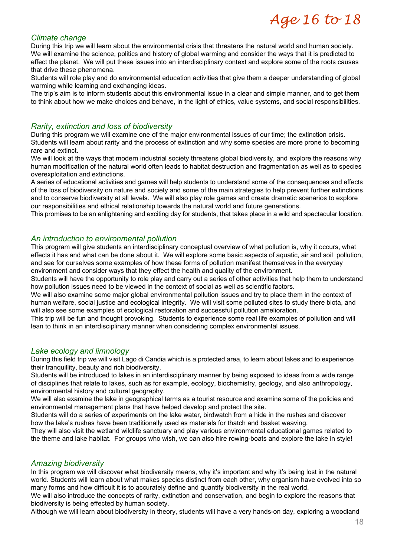# Age 16 to 18

#### *Climate change*

During this trip we will learn about the environmental crisis that threatens the natural world and human society. We will examine the science, politics and history of global warming and consider the ways that it is predicted to effect the planet. We will put these issues into an interdisciplinary context and explore some of the roots causes that drive these phenomena.

Students will role play and do environmental education activities that give them a deeper understanding of global warming while learning and exchanging ideas.

The trip's aim is to inform students about this environmental issue in a clear and simple manner, and to get them to think about how we make choices and behave, in the light of ethics, value systems, and social responsibilities.

# *Rarity, extinction and loss of biodiversity*

During this program we will examine one of the major environmental issues of our time; the extinction crisis. Students will learn about rarity and the process of extinction and why some species are more prone to becoming rare and extinct.

We will look at the ways that modern industrial society threatens global biodiversity, and explore the reasons why human modification of the natural world often leads to habitat destruction and fragmentation as well as to species overexploitation and extinctions.

A series of educational activities and games will help students to understand some of the consequences and effects of the loss of biodiversity on nature and society and some of the main strategies to help prevent further extinctions and to conserve biodiversity at all levels. We will also play role games and create dramatic scenarios to explore our responsibilities and ethical relationship towards the natural world and future generations.

This promises to be an enlightening and exciting day for students, that takes place in a wild and spectacular location.

#### *An introduction to environmental pollution*

This program will give students an interdisciplinary conceptual overview of what pollution is, why it occurs, what effects it has and what can be done about it. We will explore some basic aspects of aquatic, air and soil pollution, and see for ourselves some examples of how these forms of pollution manifest themselves in the everyday environment and consider ways that they effect the health and quality of the environment.

Students will have the opportunity to role play and carry out a series of other activities that help them to understand how pollution issues need to be viewed in the context of social as well as scientific factors.

We will also examine some major global environmental pollution issues and try to place them in the context of human welfare, social justice and ecological integrity. We will visit some polluted sites to study there biota, and will also see some examples of ecological restoration and successful pollution amelioration.

This trip will be fun and thought provoking. Students to experience some real life examples of pollution and will lean to think in an interdisciplinary manner when considering complex environmental issues.

# *Lake ecology and limnology*

During this field trip we will visit Lago di Candia which is a protected area, to learn about lakes and to experience their tranquillity, beauty and rich biodiversity.

Students will be introduced to lakes in an interdisciplinary manner by being exposed to ideas from a wide range of disciplines that relate to lakes, such as for example, ecology, biochemistry, geology, and also anthropology, environmental history and cultural geography.

We will also examine the lake in geographical terms as a tourist resource and examine some of the policies and environmental management plans that have helped develop and protect the site.

Students will do a series of experiments on the lake water, birdwatch from a hide in the rushes and discover how the lake's rushes have been traditionally used as materials for thatch and basket weaving.

They will also visit the wetland wildlife sanctuary and play various environmental educational games related to the theme and lake habitat. For groups who wish, we can also hire rowing-boats and explore the lake in style!

#### *Amazing biodiversity*

In this program we will discover what biodiversity means, why it's important and why it's being lost in the natural world. Students will learn about what makes species distinct from each other, why organism have evolved into so many forms and how difficult it is to accurately define and quantify biodiversity in the real world.

We will also introduce the concepts of rarity, extinction and conservation, and begin to explore the reasons that biodiversity is being effected by human society.

Although we will learn about biodiversity in theory, students will have a very hands-on day, exploring a woodland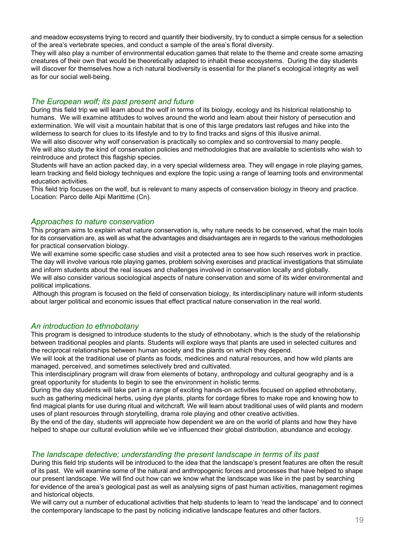and meadow ecosystems trying to record and quantify their biodiversity, try to conduct a simple census for a selection of the area's vertebrate species, and conduct a sample of the area's floral diversity.

They will also play a number of environmental education games that relate to the theme and create some amazing creatures of their own that would be theoretically adapted to inhabit these ecosystems. During the day students will discover for themselves how a rich natural biodiversity is essential for the planet's ecological integrity as well as for our social well-being.

# *The European wolf; its past present and future*

During this field trip we will learn about the wolf in terms of its biology, ecology and its historical relationship to humans. We will examine attitudes to wolves around the world and learn about their history of persecution and extermination. We will visit a mountain habitat that is one of this large predators last refuges and hike into the wilderness to search for clues to its lifestyle and to try to find tracks and signs of this illusive animal.

We will also discover why wolf conservation is practically so complex and so controversial to many people. We will also study the kind of conservation policies and methodologies that are available to scientists who wish to reintroduce and protect this flagship species.

Students will have an action packed day, in a very special wilderness area. They will engage in role playing games, learn tracking and field biology techniques and explore the topic using a range of learning tools and environmental education activities.

This field trip focuses on the wolf, but is relevant to many aspects of conservation biology in theory and practice. Location: Parco delle Alpi Marittime (Cn).

#### *Approaches to nature conservation*

This program aims to explain what nature conservation is, why nature needs to be conserved, what the main tools for its conservation are, as well as what the advantages and disadvantages are in regards to the various methodologies for practical conservation biology.

We will examine some specific case studies and visit a protected area to see how such reserves work in practice. The day will involve various role playing games, problem solving exercises and practical investigations that stimulate and inform students about the real issues and challenges involved in conservation locally and globally.

We will also consider various sociological aspects of nature conservation and some of its wider environmental and political implications.

 Although this program is focused on the field of conservation biology, its interdisciplinary nature will inform students about larger political and economic issues that effect practical nature conservation in the real world.

# *An introduction to ethnobotany*

This program is designed to introduce students to the study of ethnobotany, which is the study of the relationship between traditional peoples and plants. Students will explore ways that plants are used in selected cultures and the reciprocal relationships between human society and the plants on which they depend.

We will look at the traditional use of plants as foods, medicines and natural resources, and how wild plants are managed, perceived, and sometimes selectively bred and cultivated.

This interdisciplinary program will draw from elements of botany, anthropology and cultural geography and is a great opportunity for students to begin to see the environment in holistic terms.

During the day students will take part in a range of exciting hands-on activities focused on applied ethnobotany, such as gathering medicinal herbs, using dye plants, plants for cordage fibres to make rope and knowing how to find magical plants for use during ritual and witchcraft. We will learn about traditional uses of wild plants and modern uses of plant resources through storytelling, drama role playing and other creative activities.

By the end of the day, students will appreciate how dependent we are on the world of plants and how they have helped to shape our cultural evolution while we've influenced their global distribution, abundance and ecology.

#### *The landscape detective; understanding the present landscape in terms of its past*

During this field trip students will be introduced to the idea that the landscape's present features are often the result of its past. We will examine some of the natural and anthropogenic forces and processes that have helped to shape our present landscape. We will find out how can we know what the landscape was like in the past by searching for evidence of the area's geological past as well as analysing signs of past human activities, management regimes and historical objects.

We will carry out a number of educational activities that help students to learn to 'read the landscape' and to connect the contemporary landscape to the past by noticing indicative landscape features and other factors.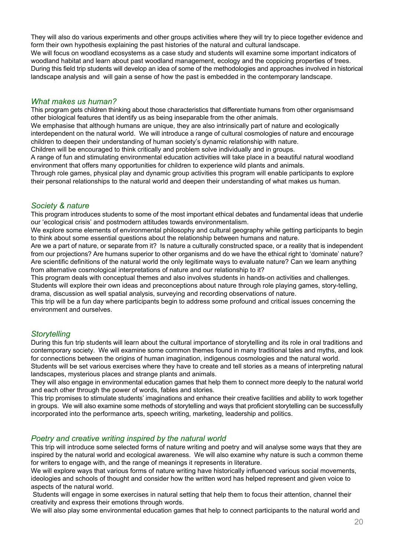They will also do various experiments and other groups activities where they will try to piece together evidence and form their own hypothesis explaining the past histories of the natural and cultural landscape. We will focus on woodland ecosystems as a case study and students will examine some important indicators of woodland habitat and learn about past woodland management, ecology and the coppicing properties of trees. During this field trip students will develop an idea of some of the methodologies and approaches involved in historical landscape analysis and will gain a sense of how the past is embedded in the contemporary landscape.

# *What makes us human?*

This program gets children thinking about those characteristics that differentiate humans from other organismsand other biological features that identify us as being inseparable from the other animals.

We emphasise that although humans are unique, they are also intrinsically part of nature and ecologically interdependent on the natural world. We will introduce a range of cultural cosmologies of nature and encourage children to deepen their understanding of human society's dynamic relationship with nature.

Children will be encouraged to think critically and problem solve individually and in groups.

A range of fun and stimulating environmental education activities will take place in a beautiful natural woodland environment that offers many opportunities for children to experience wild plants and animals.

Through role games, physical play and dynamic group activities this program will enable participants to explore their personal relationships to the natural world and deepen their understanding of what makes us human.

# *Society & nature*

This program introduces students to some of the most important ethical debates and fundamental ideas that underlie our 'ecological crisis' and postmodern attitudes towards environmentalism.

We explore some elements of environmental philosophy and cultural geography while getting participants to begin to think about some essential questions about the relationship between humans and nature.

Are we a part of nature, or separate from it? Is nature a culturally constructed space, or a reality that is independent from our projections? Are humans superior to other organisms and do we have the ethical right to 'dominate' nature? Are scientific definitions of the natural world the only legitimate ways to evaluate nature? Can we learn anything from alternative cosmological interpretations of nature and our relationship to it?

This program deals with conceptual themes and also involves students in hands-on activities and challenges. Students will explore their own ideas and preconceptions about nature through role playing games, story-telling, drama, discussion as well spatial analysis, surveying and recording observations of nature.

This trip will be a fun day where participants begin to address some profound and critical issues concerning the environment and ourselves.

# *Storytelling*

During this fun trip students will learn about the cultural importance of storytelling and its role in oral traditions and contemporary society. We will examine some common themes found in many traditional tales and myths, and look for connections between the origins of human imagination, indigenous cosmologies and the natural world.

Students will be set various exercises where they have to create and tell stories as a means of interpreting natural landscapes, mysterious places and strange plants and animals.

They will also engage in environmental education games that help them to connect more deeply to the natural world and each other through the power of words, fables and stories.

This trip promises to stimulate students' imaginations and enhance their creative facilities and ability to work together in groups. We will also examine some methods of storytelling and ways that proficient storytelling can be successfully incorporated into the performance arts, speech writing, marketing, leadership and politics.

# *Poetry and creative writing inspired by the natural world*

This trip will introduce some selected forms of nature writing and poetry and will analyse some ways that they are inspired by the natural world and ecological awareness. We will also examine why nature is such a common theme for writers to engage with, and the range of meanings it represents in literature.

We will explore ways that various forms of nature writing have historically influenced various social movements, ideologies and schools of thought and consider how the written word has helped represent and given voice to aspects of the natural world.

 Students will engage in some exercises in natural setting that help them to focus their attention, channel their creativity and express their emotions through words.

We will also play some environmental education games that help to connect participants to the natural world and